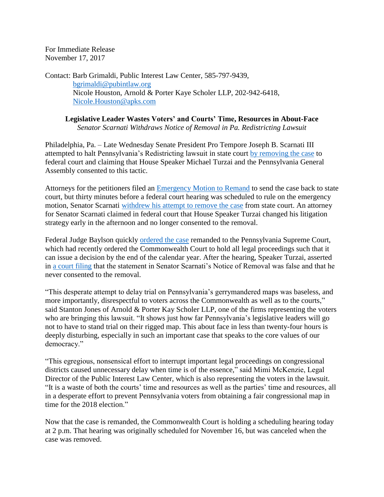For Immediate Release November 17, 2017

Contact: Barb Grimaldi, Public Interest Law Center, 585-797-9439, [bgrimaldi@pubintlaw.org](mailto:bgrimaldi@pubintlaw.org) Nicole Houston, Arnold & Porter Kaye Scholer LLP, 202-942-6418, [Nicole.Houston@apks.com](mailto:Nicole.Houston@apks.com)

**Legislative Leader Wastes Voters' and Courts' Time, Resources in About-Face** *Senator Scarnati Withdraws Notice of Removal in Pa. Redistricting Lawsuit*

Philadelphia, Pa. – Late Wednesday Senate President Pro Tempore Joseph B. Scarnati III attempted to halt Pennsylvania's Redistricting lawsuit in state court [by removing the case](https://www.pubintlaw.org/wp-content/uploads/2017/06/2017-11-15-Notice-of-Removal.pdf) to federal court and claiming that House Speaker Michael Turzai and the Pennsylvania General Assembly consented to this tactic.

Attorneys for the petitioners filed an **Emergency Motion** to Remand to send the case back to state court, but thirty minutes before a federal court hearing was scheduled to rule on the emergency motion, Senator Scarnati [withdrew his attempt to remove the case](https://www.pubintlaw.org/wp-content/uploads/2017/06/2017-11-16-Emergency-Motion-to-Withdraw-Notice-of-Removal.pdf) from state court. An attorney for Senator Scarnati claimed in federal court that House Speaker Turzai changed his litigation strategy early in the afternoon and no longer consented to the removal.

Federal Judge Baylson quickly [ordered the case](https://www.pubintlaw.org/wp-content/uploads/2017/06/2017-11-16-Order-Remanding-Case.pdf) remanded to the Pennsylvania Supreme Court, which had recently ordered the Commonwealth Court to hold all legal proceedings such that it can issue a decision by the end of the calendar year. After the hearing, Speaker Turzai, asserted in [a court filing](https://www.pubintlaw.org/wp-content/uploads/2017/06/2017-11-16-Turzais-Response-to-Scarnatis-Emergency-Motion.pdf) that the statement in Senator Scarnati's Notice of Removal was false and that he never consented to the removal.

"This desperate attempt to delay trial on Pennsylvania's gerrymandered maps was baseless, and more importantly, disrespectful to voters across the Commonwealth as well as to the courts," said Stanton Jones of Arnold & Porter Kay Scholer LLP, one of the firms representing the voters who are bringing this lawsuit. "It shows just how far Pennsylvania's legislative leaders will go not to have to stand trial on their rigged map. This about face in less than twenty-four hours is deeply disturbing, especially in such an important case that speaks to the core values of our democracy."

"This egregious, nonsensical effort to interrupt important legal proceedings on congressional districts caused unnecessary delay when time is of the essence," said Mimi McKenzie, Legal Director of the Public Interest Law Center, which is also representing the voters in the lawsuit. "It is a waste of both the courts' time and resources as well as the parties' time and resources, all in a desperate effort to prevent Pennsylvania voters from obtaining a fair congressional map in time for the 2018 election."

Now that the case is remanded, the Commonwealth Court is holding a scheduling hearing today at 2 p.m. That hearing was originally scheduled for November 16, but was canceled when the case was removed.